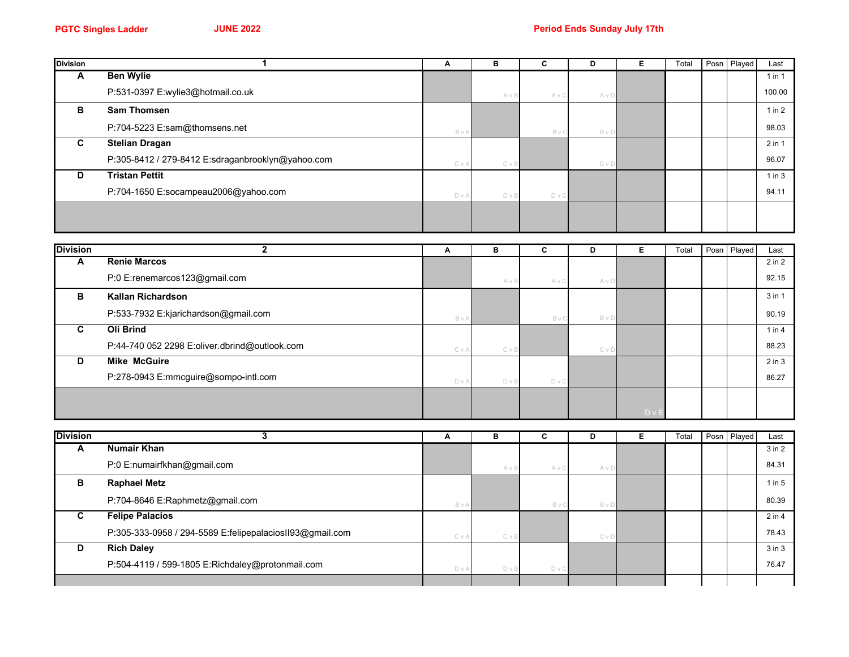| <b>Division</b> | $\mathbf{1}$                                      | Α     | B          | $\mathbf c$ | D                      | E              | Total | Posn Played | Last       |
|-----------------|---------------------------------------------------|-------|------------|-------------|------------------------|----------------|-------|-------------|------------|
| A               | <b>Ben Wylie</b>                                  |       |            |             |                        |                |       |             | $1$ in $1$ |
|                 | P:531-0397 E:wylie3@hotmail.co.uk                 |       | A v B      | A v C       | A v D                  |                |       |             | 100.00     |
| В               | <b>Sam Thomsen</b>                                |       |            |             |                        |                |       |             | $1$ in $2$ |
|                 | P:704-5223 E:sam@thomsens.net                     | BvA   |            | BvC         | B v D                  |                |       |             | 98.03      |
| $\mathbf{C}$    | <b>Stelian Dragan</b>                             |       |            |             |                        |                |       |             | 2 in 1     |
|                 | P:305-8412 / 279-8412 E:sdraganbrooklyn@yahoo.com | CvA   | C v B      |             | $C \vee D$             |                |       |             | 96.07      |
| D               | <b>Tristan Pettit</b>                             |       |            |             |                        |                |       |             | $1$ in $3$ |
|                 | P:704-1650 E:socampeau2006@yahoo.com              | D V A | D v B      | $D \vee C$  |                        |                |       |             | 94.11      |
|                 |                                                   |       |            |             |                        |                |       |             |            |
|                 |                                                   |       |            |             |                        |                |       |             |            |
|                 |                                                   |       |            |             |                        |                |       |             |            |
| <b>Division</b> | $\overline{\mathbf{2}}$                           | Α     | в          | C           | D                      | Е              | Total | Posn Played | Last       |
| A               | <b>Renie Marcos</b>                               |       |            |             |                        |                |       |             | $2$ in $2$ |
|                 | P:0 E:renemarcos123@gmail.com                     |       | AvB        | A v C       | A v D                  |                |       |             | 92.15      |
| в               | Kallan Richardson                                 |       |            |             |                        |                |       |             | 3 in 1     |
|                 | P:533-7932 E:kjarichardson@gmail.com              | BvA   |            | BvC         | BvD                    |                |       |             | 90.19      |
| C               | <b>Oli Brind</b>                                  |       |            |             |                        |                |       |             | $1$ in $4$ |
|                 | P:44-740 052 2298 E:oliver.dbrind@outlook.com     | CvA   | C v B      |             | $C \vee D$             |                |       |             | 88.23      |
| D               | <b>Mike McGuire</b>                               |       |            |             |                        |                |       |             | $2$ in $3$ |
|                 | P:278-0943 E:mmcguire@sompo-intl.com              | DvA   | D v B      | D v C       |                        |                |       |             | 86.27      |
|                 |                                                   |       |            |             |                        |                |       |             |            |
|                 |                                                   |       |            |             |                        | D <sub>v</sub> |       |             |            |
|                 |                                                   |       |            |             |                        |                |       |             |            |
| <b>Division</b> | 3                                                 | Α     | в          | C           | D                      | Е              | Total | Posn Played | Last       |
| A               | <b>Numair Khan</b>                                |       |            |             |                        |                |       |             | $3$ in $2$ |
|                 | P:0 E:numairfkhan@gmail.com                       |       | $A \vee B$ | $A \vee C$  | $\triangle$ v $\Gamma$ |                |       |             | 84.31      |

|   | P:0 E:numairfkhan@gmail.com                              |       | A v B      | A v C      | A v I |  |  | 84.31      |
|---|----------------------------------------------------------|-------|------------|------------|-------|--|--|------------|
| в | <b>Raphael Metz</b>                                      |       |            |            |       |  |  | $1$ in $5$ |
|   | P:704-8646 E:Raphmetz@gmail.com                          | BvA   |            | B v        | Bvl   |  |  | 80.39      |
|   | <b>Felipe Palacios</b>                                   |       |            |            |       |  |  | $2$ in $4$ |
|   | P:305-333-0958 / 294-5589 E:felipepalaciosII93@gmail.com | CvA   | $C \vee B$ |            | CvD   |  |  | 78.43      |
| D | <b>Rich Daley</b>                                        |       |            |            |       |  |  | $3$ in $3$ |
|   | P:504-4119 / 599-1805 E:Richdaley@protonmail.com         | D v A | D v B      | $D \vee C$ |       |  |  | 76.47      |
|   |                                                          |       |            |            |       |  |  |            |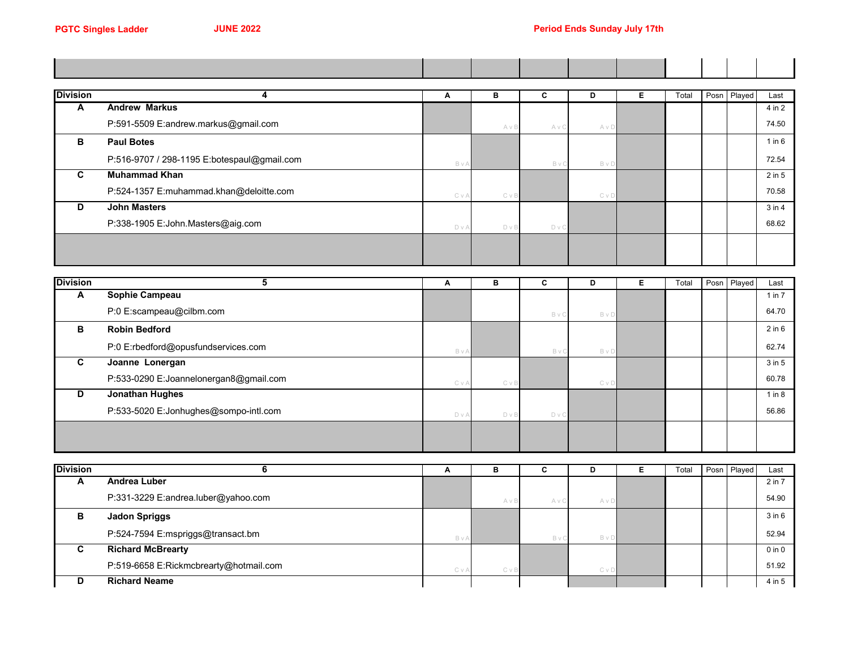$\blacksquare$ 

| <b>Division</b> | 4                                           | A     | в            | C              | D          | Е | Total | Posn Played | Last       |
|-----------------|---------------------------------------------|-------|--------------|----------------|------------|---|-------|-------------|------------|
| A               | <b>Andrew Markus</b>                        |       |              |                |            |   |       |             | 4 in 2     |
|                 | P:591-5509 E:andrew.markus@gmail.com        |       | AvB          | A v C          | A v D      |   |       |             | 74.50      |
| в               | <b>Paul Botes</b>                           |       |              |                |            |   |       |             | 1 in 6     |
|                 | P:516-9707 / 298-1195 E:botespaul@gmail.com | B v A |              | BvC            | BvD        |   |       |             | 72.54      |
| C               | <b>Muhammad Khan</b>                        |       |              |                |            |   |       |             | $2$ in $5$ |
|                 | P:524-1357 E:muhammad.khan@deloitte.com     | C V A | <b>C</b> v B |                | $C \vee D$ |   |       |             | 70.58      |
| D               | <b>John Masters</b>                         |       |              |                |            |   |       |             | $3$ in $4$ |
|                 | P:338-1905 E:John.Masters@aig.com           | D V A | D v B        | D <sub>V</sub> |            |   |       |             | 68.62      |
|                 |                                             |       |              |                |            |   |       |             |            |
|                 |                                             |       |              |                |            |   |       |             |            |

| <b>Division</b> |                                        | A     | в            | C     | D          | Total | Posn | Played | Last       |
|-----------------|----------------------------------------|-------|--------------|-------|------------|-------|------|--------|------------|
| A               | Sophie Campeau                         |       |              |       |            |       |      |        | $1$ in $7$ |
|                 | P:0 E:scampeau@cilbm.com               |       |              | BvC   | BvD        |       |      |        | 64.70      |
| в               | <b>Robin Bedford</b>                   |       |              |       |            |       |      |        | $2$ in $6$ |
|                 | P:0 E:rbedford@opusfundservices.com    | BvA   |              | Bv    | BvD        |       |      |        | 62.74      |
| C.              | Joanne Lonergan                        |       |              |       |            |       |      |        | $3$ in $5$ |
|                 | P:533-0290 E:Joannelonergan8@gmail.com | CvA   | <b>C</b> v B |       | $C \vee D$ |       |      |        | 60.78      |
| D               | <b>Jonathan Hughes</b>                 |       |              |       |            |       |      |        | $1$ in $8$ |
|                 | P:533-5020 E:Jonhughes@sompo-intl.com  | D v A | D v B        | D v C |            |       |      |        | 56.86      |
|                 |                                        |       |              |       |            |       |      |        |            |
|                 |                                        |       |              |       |            |       |      |        |            |

| <b>Division</b> |                                        |     | в          | ⌒<br>u | Đ     | Total | Posn Played | Last       |
|-----------------|----------------------------------------|-----|------------|--------|-------|-------|-------------|------------|
| A               | Andrea Luber                           |     |            |        |       |       |             | 2 in 7     |
|                 | P:331-3229 E:andrea.luber@yahoo.com    |     | AvB        | Αv     | AvC   |       |             | 54.90      |
| в               | <b>Jadon Spriggs</b>                   |     |            |        |       |       |             | $3$ in $6$ |
|                 | P:524-7594 E:mspriggs@transact.bm      | BvA |            | B.     | B v I |       |             | 52.94      |
| C               | <b>Richard McBrearty</b>               |     |            |        |       |       |             | $0$ in $0$ |
|                 | P:519-6658 E:Rickmcbrearty@hotmail.com | CvA | $C \vee B$ |        | C v D |       |             | 51.92      |
| D               | <b>Richard Neame</b>                   |     |            |        |       |       |             | 4 in 5     |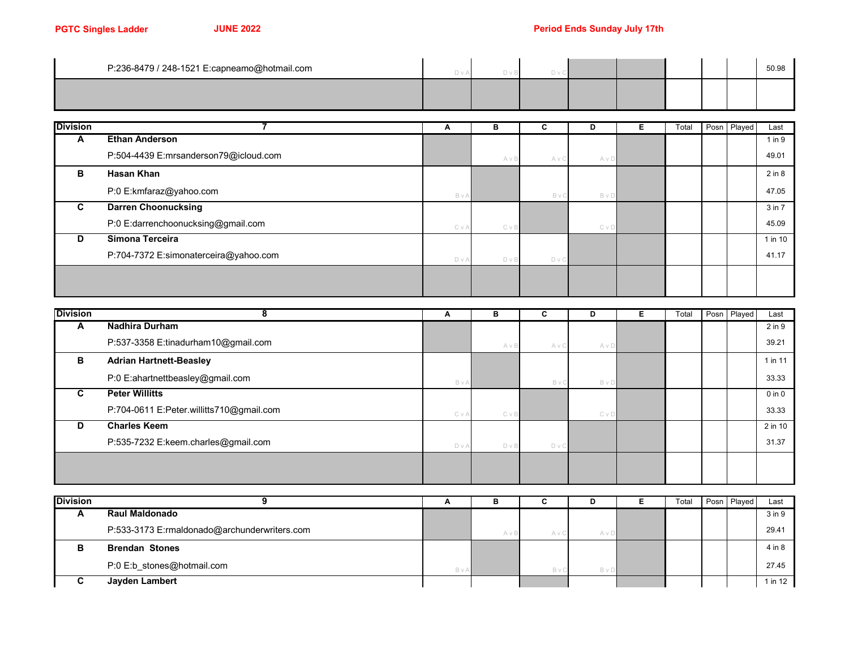| P:236-8479 / 248-1521 E:capneamo@hotmail.com |  |  |  |  | 50.98 |
|----------------------------------------------|--|--|--|--|-------|
|                                              |  |  |  |  |       |

| <b>Division</b> |                                       | A          | в     | C     | D          | Total | Posn Played | Last        |
|-----------------|---------------------------------------|------------|-------|-------|------------|-------|-------------|-------------|
| A               | <b>Ethan Anderson</b>                 |            |       |       |            |       |             | $1$ in $9$  |
|                 | P:504-4439 E:mrsanderson79@icloud.com |            | AvB   | A v C | AvD        |       |             | 49.01       |
| в               | Hasan Khan                            |            |       |       |            |       |             | $2$ in $8$  |
|                 | P:0 E:kmfaraz@yahoo.com               | BvA        |       | BvC   | BvD        |       |             | 47.05       |
| C.              | <b>Darren Choonucksing</b>            |            |       |       |            |       |             | 3 in 7      |
|                 | P:0 E:darrenchoonucksing@gmail.com    | $C \vee A$ | C v B |       | $C \vee D$ |       |             | 45.09       |
| D               | Simona Terceira                       |            |       |       |            |       |             | $1$ in $10$ |
|                 | P:704-7372 E:simonaterceira@yahoo.com | D V A      | D v B | D v C |            |       |             | 41.17       |
|                 |                                       |            |       |       |            |       |             |             |
|                 |                                       |            |       |       |            |       |             |             |

| <b>Division</b> |                                          | А     | в          | u     | D     | Е | Total | Posn Played | Last       |
|-----------------|------------------------------------------|-------|------------|-------|-------|---|-------|-------------|------------|
| A               | <b>Nadhira Durham</b>                    |       |            |       |       |   |       |             | 2 in 9     |
|                 | P:537-3358 E:tinadurham10@gmail.com      |       | AvB        | A v C | A v D |   |       |             | 39.21      |
| в               | <b>Adrian Hartnett-Beasley</b>           |       |            |       |       |   |       |             | 1 in 11    |
|                 | P:0 E:ahartnettbeasley@gmail.com         | BvA   |            | Bv    | BvD   |   |       |             | 33.33      |
| C.              | <b>Peter Willitts</b>                    |       |            |       |       |   |       |             | $0$ in $0$ |
|                 | P:704-0611 E:Peter.willitts710@gmail.com | CvA   | $C \vee B$ |       | CvD   |   |       |             | 33.33      |
| D               | <b>Charles Keem</b>                      |       |            |       |       |   |       |             | 2 in 10    |
|                 | P:535-7232 E:keem.charles@gmail.com      | D v A | D v B      | D v C |       |   |       |             | 31.37      |
|                 |                                          |       |            |       |       |   |       |             |            |
|                 |                                          |       |            |       |       |   |       |             |            |

| <b>Division</b> |                                              | n   |     | ັ  |       | Total | Posn Played | Last    |
|-----------------|----------------------------------------------|-----|-----|----|-------|-------|-------------|---------|
| -               | <b>Raul Maldonado</b>                        |     |     |    |       |       |             | 3 in 9  |
|                 | P:533-3173 E:rmaldonado@archunderwriters.com |     | AvE | Αν | A v D |       |             | 29.41   |
|                 | <b>Brendan Stones</b>                        |     |     |    |       |       |             | 4 in 8  |
|                 | P:0 E:b_stones@hotmail.com                   | BvA |     |    | B v D |       |             | 27.45   |
|                 | Jayden Lambert                               |     |     |    |       |       |             | 1 in 12 |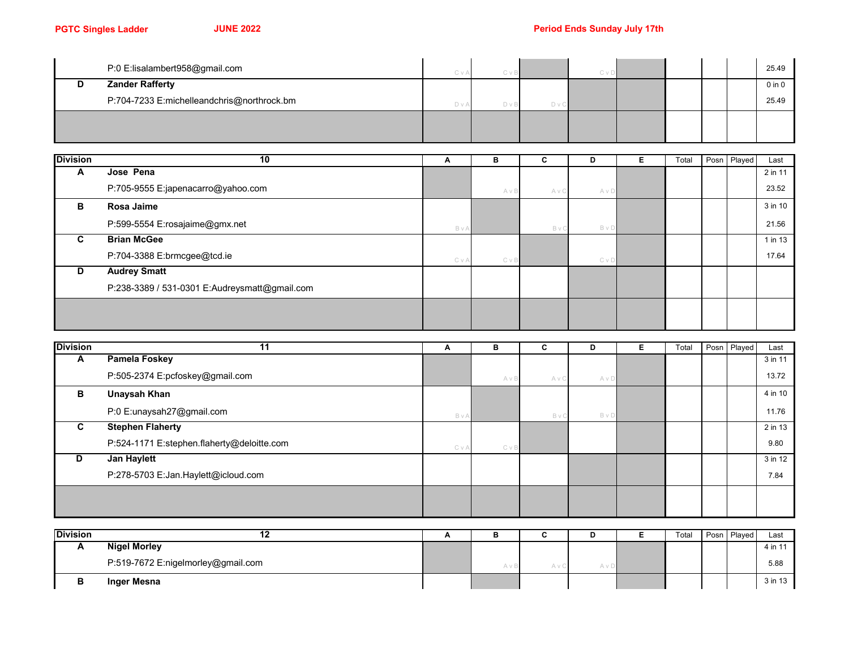| P:0 E:lisalambert958@gmail.com             | CvA | СvВ | C v D |  |  | 25.49      |
|--------------------------------------------|-----|-----|-------|--|--|------------|
| <b>Zander Rafferty</b>                     |     |     |       |  |  | $0$ in $0$ |
| P:704-7233 E:michelleandchris@northrock.bm | DvA |     |       |  |  | 25.49      |
|                                            |     |     |       |  |  |            |
|                                            |     |     |       |  |  |            |

| <b>Division</b> | 10                                            | A   | в            | c     | D          | Е | Total | Posn Played | Last    |
|-----------------|-----------------------------------------------|-----|--------------|-------|------------|---|-------|-------------|---------|
| A               | Jose Pena                                     |     |              |       |            |   |       |             | 2 in 11 |
|                 | P:705-9555 E:japenacarro@yahoo.com            |     | AvB          | A v ( | A v D      |   |       |             | 23.52   |
| B               | Rosa Jaime                                    |     |              |       |            |   |       |             | 3 in 10 |
|                 | P:599-5554 E:rosajaime@gmx.net                | BvA |              | Βv    | BvD        |   |       |             | 21.56   |
| C               | <b>Brian McGee</b>                            |     |              |       |            |   |       |             | 1 in 13 |
|                 | P:704-3388 E:brmcgee@tcd.ie                   | CvA | <b>C</b> v B |       | $C \vee D$ |   |       |             | 17.64   |
| D               | <b>Audrey Smatt</b>                           |     |              |       |            |   |       |             |         |
|                 | P:238-3389 / 531-0301 E:Audreysmatt@gmail.com |     |              |       |            |   |       |             |         |
|                 |                                               |     |              |       |            |   |       |             |         |
|                 |                                               |     |              |       |            |   |       |             |         |

| <b>Division</b> |                                            | A   | в     | C     | D   | Total | Posn Played | Last    |
|-----------------|--------------------------------------------|-----|-------|-------|-----|-------|-------------|---------|
| A               | <b>Pamela Foskey</b>                       |     |       |       |     |       |             | 3 in 11 |
|                 | P:505-2374 E:pcfoskey@gmail.com            |     | AvB   | A v C | AvD |       |             | 13.72   |
| В               | <b>Unaysah Khan</b>                        |     |       |       |     |       |             | 4 in 10 |
|                 | P:0 E:unaysah27@gmail.com                  | BvA |       | B v ( | BvD |       |             | 11.76   |
| C               | <b>Stephen Flaherty</b>                    |     |       |       |     |       |             | 2 in 13 |
|                 | P:524-1171 E:stephen.flaherty@deloitte.com | CvA | C v B |       |     |       |             | 9.80    |
| D               | Jan Haylett                                |     |       |       |     |       |             | 3 in 12 |
|                 | P:278-5703 E:Jan.Haylett@icloud.com        |     |       |       |     |       |             | 7.84    |
|                 |                                            |     |       |       |     |       |             |         |
|                 |                                            |     |       |       |     |       |             |         |

| <b>Division</b> | . .                                |  |       | Total | Posn Played | Last    |
|-----------------|------------------------------------|--|-------|-------|-------------|---------|
|                 | <b>Nigel Morley</b>                |  |       |       |             | 4 in 11 |
|                 | P:519-7672 E:nigelmorley@gmail.com |  | m v L |       |             | 5.88    |
|                 | Inger Mesna                        |  |       |       |             | 3 in 13 |